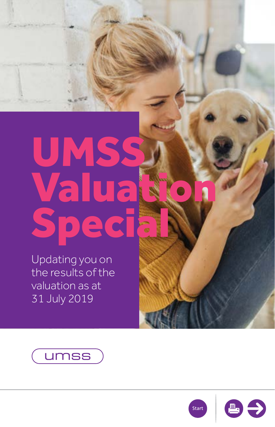# <span id="page-0-0"></span>UMSS Valua Specia

Updating you on the results of the valuation as at 31 July 2019





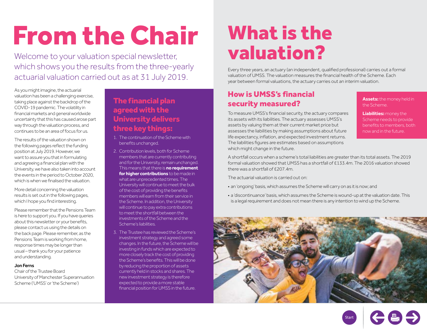# <span id="page-1-0"></span>From the Chair

Welcome to your valuation special newsletter, which shows you the results from the three-yearly actuarial valuation carried out as at 31 July 2019.

As you might imagine, the actuarial valuation has been a challenging exercise, taking place against the backdrop of the COVID-19 pandemic. The volatility in financial markets and general worldwide uncertainty that this has caused arose part way through the valuation process, and continues to be an area of focus for us.

The results of the valuation shown on the following pages reflect the funding position at July 2019. However, we want to assure you that in formulating and agreeing a financial plan with the University, we have also taken into account the events in the period to October 2020, which is when we finalised the valuation.

More detail concerning the valuation results is set out in the following pages, which I hope you find interesting.

Please remember that the Pensions Team is here to support you. If you have queries about this newsletter or your benefits, please contact us using the details on the back page. Please remember, as the Pensions Team is working from home, response times may be longer than usual – thank you for your patience and understanding.

#### Jon Ferns

Chair of the Trustee Board University of Manchester Superannuation Scheme ('UMSS' or 'the Scheme')

#### The financial plan agreed with the University delivers three key things:

- 1. The continuation of the Scheme with benefits unchanged.
- 2. Contribution levels, both for Scheme members that are currently contributing and for the University, remain unchanged. This means that there is **no requirement for higher contributions** to be made in what are unprecedented times. The University will continue to meet the bulk of the cost of providing the benefits members will earn from their service in the Scheme. In addition, the University will continue to pay extra contributions to meet the shortfall between the investments of the Scheme and the Scheme's liabilities.
- 3. The Trustee has reviewed the Scheme's investment strategy and agreed some changes. In the future, the Scheme will be investing in funds which are expected to more closely track the cost of providing the Scheme's benefits. This will be done by reducing the proportion of assets currently held in stocks and shares. The new investment strategy is therefore expected to provide a more stable financial position for UMSS in the future.

### What is the valuation?

Every three years, an actuary (an independent, qualified professional) carries out a formal valuation of UMSS. The valuation measures the financial health of the Scheme. Each year between formal valuations, the actuary carries out an interim valuation.

#### How is UMSS's financial security measured?

To measure UMSS's financial security, the actuary compares its assets with its liabilities. The actuary assesses UMSS's assets by valuing them at their current market price but assesses the liabilities by making assumptions about future life expectancy, inflation, and expected investment returns. The liabilities figures are estimates based on assumptions which might change in the future.

A shortfall occurs when a scheme's total liabilities are greater than its total assets. The 2019 formal valuation showed that UMSS has a shortfall of £133.4m. The 2016 valuation showed there was a shortfall of £207.4m.

The actuarial valuation is carried out on:

- an 'ongoing' basis, which assumes the Scheme will carry on as it is now; and
- a 'discontinuance' basis, which assumes the Scheme is wound-up at the valuation date. This is a legal requirement and does not mean there is any intention to wind up the Scheme.





**Assets:** the money held in the Scheme.

**Liabilities:** money the Scheme needs to provide benefits to members, both now and in the future.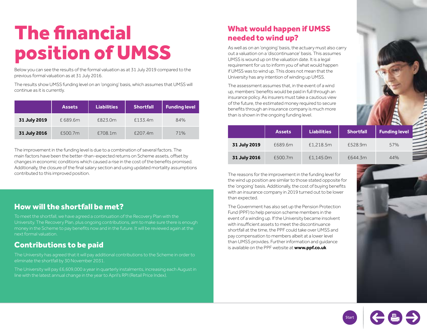## The financial position of UMSS

Below you can see the results of the formal valuation as at 31 July 2019 compared to the previous formal valuation as at 31 July 2016.

The results show UMSS funding level on an 'ongoing' basis, which assumes that UMSS will continue as it is currently.

|              | <b>Assets</b> | <b>Liabilities</b> | <b>Shortfall</b> | <b>Funding level</b> |
|--------------|---------------|--------------------|------------------|----------------------|
| 31 July 2019 | £689.6m       | £823.0m            | £133.4m          | 84%                  |
| 31 July 2016 | £500.7m       | £708.1m            | £207.4m          | 71%                  |

The improvement in the funding level is due to a combination of several factors. The main factors have been the better-than-expected returns on Scheme assets, offset by changes in economic conditions which caused a rise in the cost of the benefits promised. Additionally, the closure of the final salary section and using updated mortality assumptions contributed to this improved position.

#### How will the shortfall be met?

To meet the shortfall, we have agreed a continuation of the Recovery Plan with the University. The Recovery Plan, plus ongoing contributions, aim to make sure there is enough money in the Scheme to pay benefits now and in the future. It will be reviewed again at the next formal valuation.

#### Contributions to be paid

The University has agreed that it will pay additional contributions to the Scheme in order to eliminate the shortfall by 30 November 2031.

The University will pay £6,609,000 a year in quarterly instalments, increasing each August in line with the latest annual change in the year to April's RPI (Retail Price Index).

#### What would happen if UMSS needed to wind up?

As well as on an 'ongoing' basis, the actuary must also carry out a valuation on a 'discontinuance' basis. This assumes UMSS is wound up on the valuation date. It is a legal requirement for us to inform you of what would happen if UMSS was to wind up. This does not mean that the University has any intention of winding up UMSS.

The assessment assumes that, in the event of a wind up, members' benefits would be paid in full through an insurance policy. As insurers must take a cautious view of the future, the estimated money required to secure benefits through an insurance company is much more than is shown in the ongoing funding level.

|              | <b>Assets</b> | <b>Liabilities</b> | <b>Shortfall</b> | <b>Funding level</b> |
|--------------|---------------|--------------------|------------------|----------------------|
| 31 July 2019 | £689.6m       | £1,218.5m          | £528.9m          | 57%                  |
| 31 July 2016 | £500.7m       | £1,145.0m          | £644.3m          | 44%                  |

The reasons for the improvement in the funding level for the wind up position are similar to those stated opposite for the 'ongoing' basis. Additionally, the cost of buying benefits with an insurance company in 2019 turned out to be lower than expected.

The Government has also set up the Pension Protection Fund (PPF) to help pension scheme members in the event of a winding up. If the University became insolvent with insufficient assets to meet the discontinuance shortfall at the time, the PPF could take over UMSS and pay compensation to members albeit at a lower level than UMSS provides. Further information and guidance is available on the PPF website at **www.ppf.co.uk**



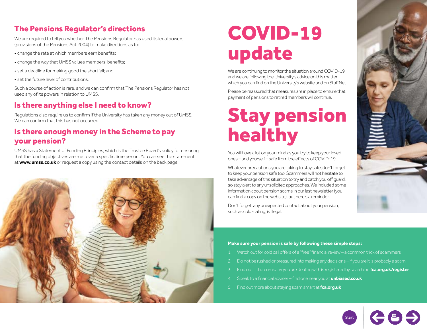#### The Pensions Regulator's directions

We are required to tell you whether The Pensions Regulator has used its legal powers (provisions of the Pensions Act 2004) to make directions as to:

- change the rate at which members earn benefits;
- change the way that UMSS values members' benefits;
- set a deadline for making good the shortfall; and
- set the future level of contributions.

Such a course of action is rare, and we can confirm that The Pensions Regulator has not used any of its powers in relation to UMSS.

#### Is there anything else I need to know?

Regulations also require us to confirm if the University has taken any money out of UMSS. We can confirm that this has not occurred.

#### Is there enough money in the Scheme to pay your pension?

UMSS has a Statement of Funding Principles, which is the Trustee Board's policy for ensuring that the funding objectives are met over a specific time period. You can see the statement at **www.umss.co.uk** or request a copy using the contact details on the back page.



### COVID-19 update

We are continuing to monitor the situation around COVID-19 and we are following the University's advice on this matter which you can find on the University's website and on StaffNet.

Please be reassured that measures are in place to ensure that payment of pensions to retired members will continue.

## Stay pension healthy

You will have a lot on your mind as you try to keep your loved ones – and yourself – safe from the effects of COVID-19.

Whatever precautions you are taking to stay safe, don't forget to keep your pension safe too. Scammers will not hesitate to take advantage of this situation to try and catch you off guard, so stay alert to any unsolicited approaches. We included some information about pension scams in our last newsletter (you can find a copy on the website), but here's a reminder.

Don't forget, any unexpected contact about your pension, such as cold-calling, is illegal.

#### **Make sure your pension is safe by following these simple steps:**

- 1. Watch out for cold call offers of a "free" financial review a common trick of scammers
- 2. Do not be rushed or pressured into making any decisions if you are it is probably a scam
- 3. Find out if the company you are dealing with is registered by searching **[fca.org.uk/register](http://fca.org.uk/register)**
- 4. Speak to a financial adviser find one near you at **[unbiased.co.uk](http://unbiased.co.uk)**
- 5. Find out more about staying scam smart at **[fca.org.uk](http://fca.org.uk)**